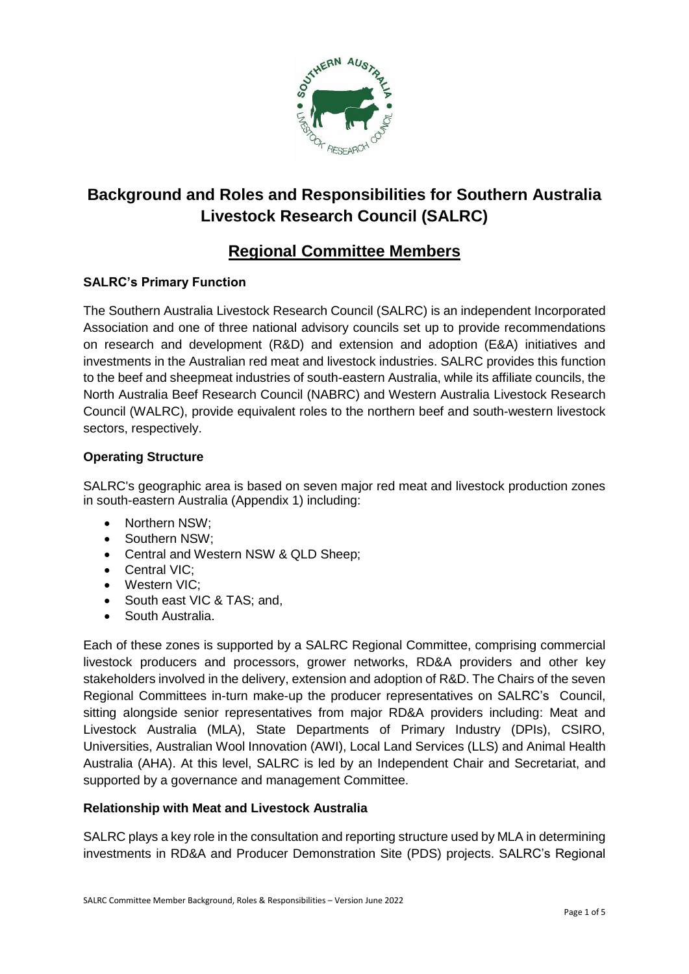

# **Background and Roles and Responsibilities for Southern Australia Livestock Research Council (SALRC)**

# **Regional Committee Members**

# **SALRC's Primary Function**

The Southern Australia Livestock Research Council (SALRC) is an independent Incorporated Association and one of three national advisory councils set up to provide recommendations on research and development (R&D) and extension and adoption (E&A) initiatives and investments in the Australian red meat and livestock industries. SALRC provides this function to the beef and sheepmeat industries of south-eastern Australia, while its affiliate councils, the North Australia Beef Research Council (NABRC) and Western Australia Livestock Research Council (WALRC), provide equivalent roles to the northern beef and south-western livestock sectors, respectively.

## **Operating Structure**

SALRC's geographic area is based on seven major red meat and livestock production zones in south-eastern Australia (Appendix 1) including:

- Northern NSW;
- Southern NSW;
- Central and Western NSW & QLD Sheep;
- Central VIC:
- Western VIC:
- South east VIC & TAS; and,
- South Australia.

Each of these zones is supported by a SALRC Regional Committee, comprising commercial livestock producers and processors, grower networks, RD&A providers and other key stakeholders involved in the delivery, extension and adoption of R&D. The Chairs of the seven Regional Committees in-turn make-up the producer representatives on SALRC's Council, sitting alongside senior representatives from major RD&A providers including: Meat and Livestock Australia (MLA), State Departments of Primary Industry (DPIs), CSIRO, Universities, Australian Wool Innovation (AWI), Local Land Services (LLS) and Animal Health Australia (AHA). At this level, SALRC is led by an Independent Chair and Secretariat, and supported by a governance and management Committee.

## **Relationship with Meat and Livestock Australia**

SALRC plays a key role in the consultation and reporting structure used by MLA in determining investments in RD&A and Producer Demonstration Site (PDS) projects. SALRC's Regional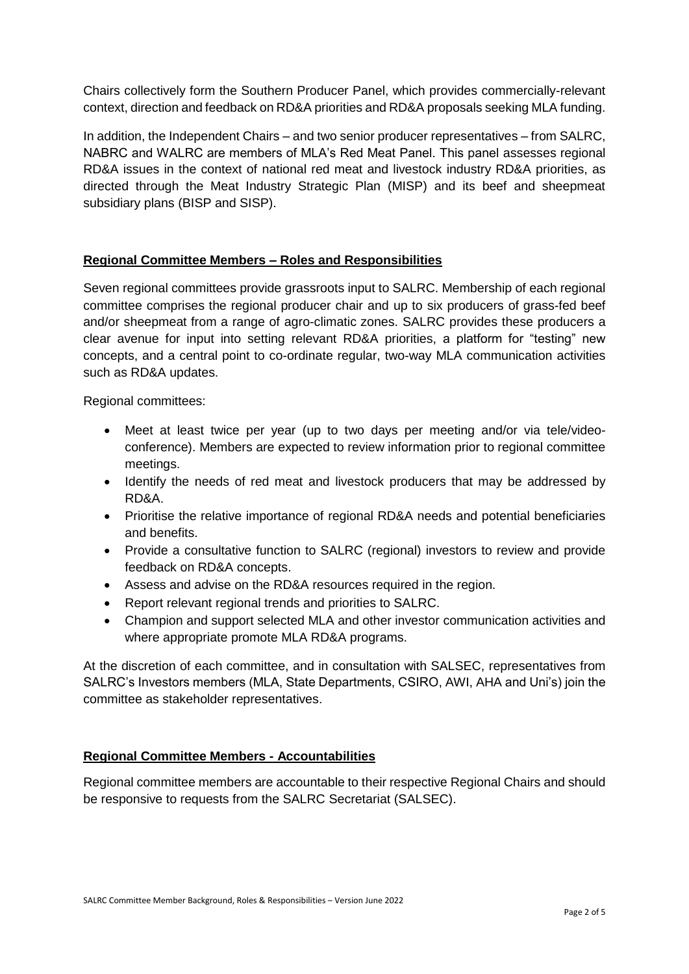Chairs collectively form the Southern Producer Panel, which provides commercially-relevant context, direction and feedback on RD&A priorities and RD&A proposals seeking MLA funding.

In addition, the Independent Chairs – and two senior producer representatives – from SALRC, NABRC and WALRC are members of MLA's Red Meat Panel. This panel assesses regional RD&A issues in the context of national red meat and livestock industry RD&A priorities, as directed through the Meat Industry Strategic Plan (MISP) and its beef and sheepmeat subsidiary plans (BISP and SISP).

#### **Regional Committee Members – Roles and Responsibilities**

Seven regional committees provide grassroots input to SALRC. Membership of each regional committee comprises the regional producer chair and up to six producers of grass-fed beef and/or sheepmeat from a range of agro-climatic zones. SALRC provides these producers a clear avenue for input into setting relevant RD&A priorities, a platform for "testing" new concepts, and a central point to co-ordinate regular, two-way MLA communication activities such as RD&A updates.

Regional committees:

- Meet at least twice per year (up to two days per meeting and/or via tele/videoconference). Members are expected to review information prior to regional committee meetings.
- Identify the needs of red meat and livestock producers that may be addressed by RD&A.
- Prioritise the relative importance of regional RD&A needs and potential beneficiaries and benefits.
- Provide a consultative function to SALRC (regional) investors to review and provide feedback on RD&A concepts.
- Assess and advise on the RD&A resources required in the region.
- Report relevant regional trends and priorities to SALRC.
- Champion and support selected MLA and other investor communication activities and where appropriate promote MLA RD&A programs.

At the discretion of each committee, and in consultation with SALSEC, representatives from SALRC's Investors members (MLA, State Departments, CSIRO, AWI, AHA and Uni's) join the committee as stakeholder representatives.

#### **Regional Committee Members - Accountabilities**

Regional committee members are accountable to their respective Regional Chairs and should be responsive to requests from the SALRC Secretariat (SALSEC).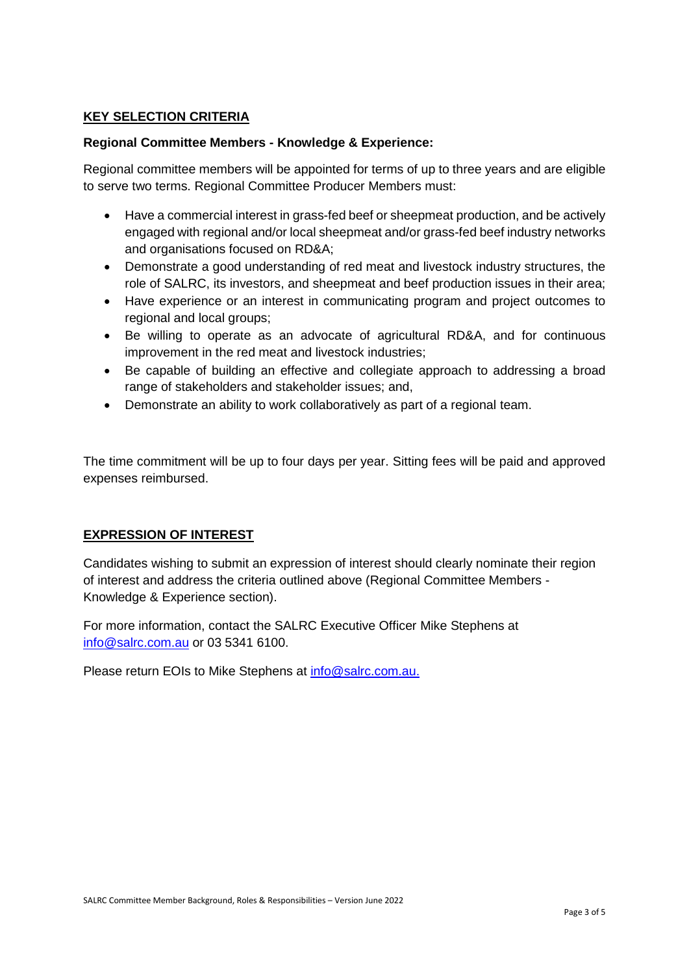### **KEY SELECTION CRITERIA**

#### **Regional Committee Members - Knowledge & Experience:**

Regional committee members will be appointed for terms of up to three years and are eligible to serve two terms. Regional Committee Producer Members must:

- Have a commercial interest in grass-fed beef or sheepmeat production, and be actively engaged with regional and/or local sheepmeat and/or grass-fed beef industry networks and organisations focused on RD&A;
- Demonstrate a good understanding of red meat and livestock industry structures, the role of SALRC, its investors, and sheepmeat and beef production issues in their area;
- Have experience or an interest in communicating program and project outcomes to regional and local groups;
- Be willing to operate as an advocate of agricultural RD&A, and for continuous improvement in the red meat and livestock industries;
- Be capable of building an effective and collegiate approach to addressing a broad range of stakeholders and stakeholder issues; and,
- Demonstrate an ability to work collaboratively as part of a regional team.

The time commitment will be up to four days per year. Sitting fees will be paid and approved expenses reimbursed.

#### **EXPRESSION OF INTEREST**

Candidates wishing to submit an expression of interest should clearly nominate their region of interest and address the criteria outlined above (Regional Committee Members - Knowledge & Experience section).

For more information, contact the SALRC Executive Officer Mike Stephens at [info@salrc.com.au](mailto:info@salrc.com.au) or 03 5341 6100.

Please return EOIs to Mike Stephens at [info@salrc.com.au.](mailto:info@salrc.com.au)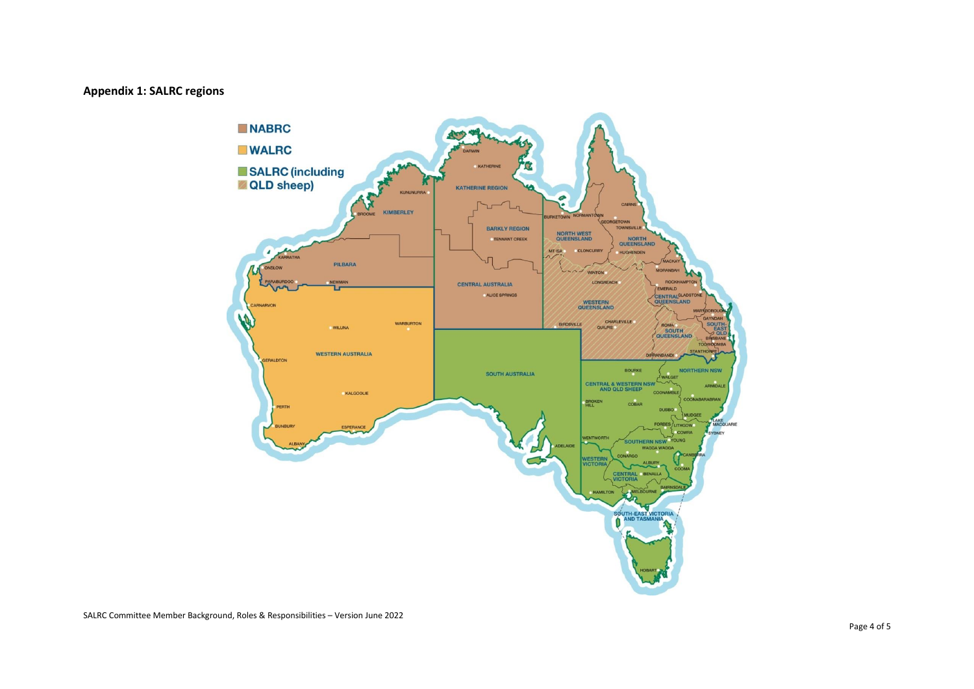#### **Appendix 1: SALRC regions**